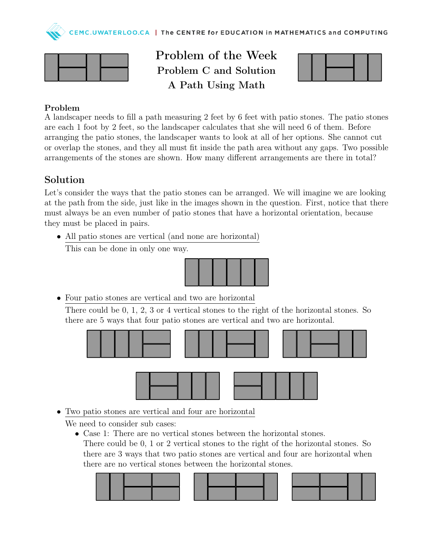



Problem of the Week Problem C and Solution A Path Using Math



## Problem

A landscaper needs to fill a path measuring 2 feet by 6 feet with patio stones. The patio stones are each 1 foot by 2 feet, so the landscaper calculates that she will need 6 of them. Before arranging the patio stones, the landscaper wants to look at all of her options. She cannot cut or overlap the stones, and they all must fit inside the path area without any gaps. Two possible arrangements of the stones are shown. How many different arrangements are there in total?

## Solution

Let's consider the ways that the patio stones can be arranged. We will imagine we are looking at the path from the side, just like in the images shown in the question. First, notice that there must always be an even number of patio stones that have a horizontal orientation, because they must be placed in pairs.

• All patio stones are vertical (and none are horizontal)

This can be done in only one way.



• Four patio stones are vertical and two are horizontal

There could be 0, 1, 2, 3 or 4 vertical stones to the right of the horizontal stones. So there are 5 ways that four patio stones are vertical and two are horizontal.



• Two patio stones are vertical and four are horizontal

We need to consider sub cases:

• Case 1: There are no vertical stones between the horizontal stones. There could be 0, 1 or 2 vertical stones to the right of the horizontal stones. So there are 3 ways that two patio stones are vertical and four are horizontal when there are no vertical stones between the horizontal stones.